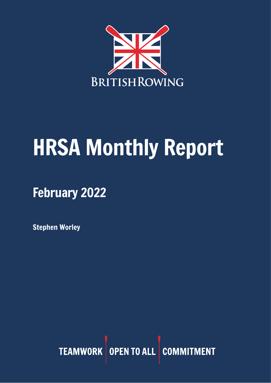

# HRSA Monthly Report

February 2022

Stephen Worley

TEAMWORK OPEN TO ALL COMMITMENT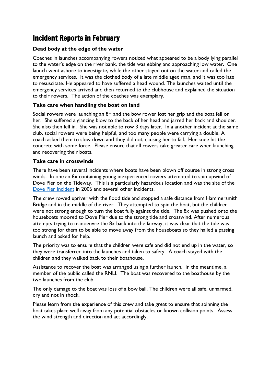# Incident Reports in February

#### **Dead body at the edge of the water**

Coaches in launches accompanying rowers noticed what appeared to be a body lying parallel to the water's edge on the river bank, the tide was ebbing and approaching low water. One launch went ashore to investigate, while the other stayed out on the water and called the emergency services. It was the clothed body of a late middle aged man, and it was too late to resuscitate. He appeared to have suffered a head wound. The launches waited until the emergency services arrived and then returned to the clubhouse and explained the situation to their rowers. The action of the coaches was exemplary.

#### **Take care when handling the boat on land**

Social rowers were launching an 8+ and the bow rower lost her grip and the boat fell on her. She suffered a glancing blow to the back of her head and jarred her back and shoulder. She also then fell in. She was not able to row 3 days later. In a another incident at the same club, social rowers were being helpful, and too many people were carrying a double. A coach asked them to slow down and they did not, causing her to fall. Her knee hit the concrete with some force. Please ensure that all rowers take greater care when launching and recovering their boats.

#### **Take care in crosswinds**

There have been several incidents where boats have been blown off course in strong cross winds. In one an 8x containing young inexperienced rowers attempted to spin upwind of Dove Pier on the Tideway. This is a particularly hazardous location and was the site of the Dove Pier [Incident](https://www.thames-rrc.co.uk/lessons-for-rowers) in 2006 and several other incidents.

The crew rowed upriver with the flood tide and stopped a safe distance from Hammersmith Bridge and in the middle of the river. They attempted to spin the boat, but the children were not strong enough to turn the boat fully against the tide. The 8x was pushed onto the houseboats moored to Dove Pier due to the strong tide and crosswind. After numerous attempts trying to manoeuvre the 8x back into the fairway, it was clear that the tide was too strong for them to be able to move away from the houseboats so they hailed a passing launch and asked for help.

The priority was to ensure that the children were safe and did not end up in the water, so they were transferred into the launches and taken to safety. A coach stayed with the children and they walked back to their boathouse.

Assistance to recover the boat was arranged using a further launch. In the meantime, a member of the public called the RNLI. The boat was recovered to the boathouse by the two launches from the club.

The only damage to the boat was loss of a bow ball. The children were all safe, unharmed, dry and not in shock.

Please learn from the experience of this crew and take great to ensure that spinning the boat takes place well away from any potential obstacles or known collision points. Assess the wind strength and direction and act accordingly.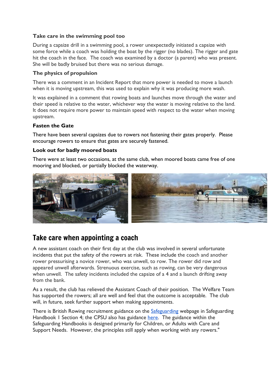#### **Take care in the swimming pool too**

During a capsize drill in a swimming pool, a rower unexpectedly initiated a capsize with some force while a coach was holding the boat by the rigger (no blades). The rigger and gate hit the coach in the face. The coach was examined by a doctor (a parent) who was present. She will be badly bruised but there was no serious damage.

#### **The physics of propulsion**

There was a comment in an Incident Report that more power is needed to move a launch when it is moving upstream, this was used to explain why it was producing more wash.

It was explained in a comment that rowing boats and launches move through the water and their speed is relative to the water, whichever way the water is moving relative to the land. It does not require more power to maintain speed with respect to the water when moving upstream.

#### **Fasten the Gate**

There have been several capsizes due to rowers not fastening their gates properly. Please encourage rowers to ensure that gates are securely fastened.

#### **Look out for badly moored boats**

There were at least two occasions, at the same club, when moored boats came free of one mooring and blocked, or partially blocked the waterway.



# Take care when appointing a coach

A new assistant coach on their first day at the club was involved in several unfortunate incidents that put the safety of the rowers at risk. These include the coach and another rower pressurising a novice rower, who was unwell, to row. The rower did row and appeared unwell afterwards. Strenuous exercise, such as rowing, can be very dangerous when unwell. The safety incidents included the capsize of a 4 and a launch drifting away from the bank.

As a result, the club has relieved the Assistant Coach of their position. The Welfare Team has supported the rowers; all are well and feel that the outcome is acceptable. The club will, in future, seek further support when making appointments.

There is British Rowing recruitment guidance on the [Safeguarding](https://www.britishrowing.org/knowledge/safeguarding/) webpage in Safeguarding Handbook 1 Section 4; the CPSU also has guidance [here.](https://thecpsu.org.uk/help-advice/topics/safer-recruitment/) The guidance within the Safeguarding Handbooks is designed primarily for Children, or Adults with Care and Support Needs. However, the principles still apply when working with any rowers."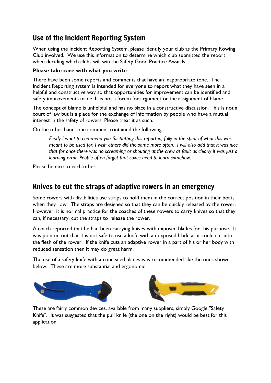# Use of the Incident Reporting System

When using the Incident Reporting System, please identify your club as the Primary Rowing Club involved. We use this information to determine which club submitted the report when deciding which clubs will win the Safety Good Practice Awards.

#### **Please take care with what you write**

There have been some reports and comments that have an inappropriate tone. The Incident Reporting system is intended for everyone to report what they have seen in a helpful and constructive way so that opportunities for improvement can be identified and safety improvements made. It is not a forum for argument or the assignment of blame.

The concept of blame is unhelpful and has no place in a constructive discussion. This is not a court of law but is a place for the exchange of information by people who have a mutual interest in the safety of rowers. Please treat it as such.

On the other hand, one comment contained the following:-

Firstly I want to commend you for putting this report in, fully in the spirit of what this was meant to be used for. I wish others did the same more often. I will also add that it was nice that for once there was no screaming or shouting at the crew at fault as clearly it was just a *learning error. People often forget that coxes need to learn somehow.*

Please be nice to each other.

## Knives to cut the straps of adaptive rowers in an emergency

Some rowers with disabilities use straps to hold them in the correct position in their boats when they row. The straps are designed so that they can be quickly released by the rower. However, it is normal practice for the coaches of these rowers to carry knives so that they can, if necessary, cut the straps to release the rower.

A coach reported that he had been carrying knives with exposed blades for this purpose. It was pointed out that it is not safe to use a knife with an exposed blade as it could cut into the flesh of the rower. If the knife cuts an adaptive rower in a part of his or her body with reduced sensation then it may do great harm.

The use of a safety knife with a concealed blades was recommended like the ones shown below. These are more substantial and ergonomic





These are fairly common devices, available from many suppliers, simply Google "Safety Knife". It was suggested that the pull knife (the one on the right) would be best for this application.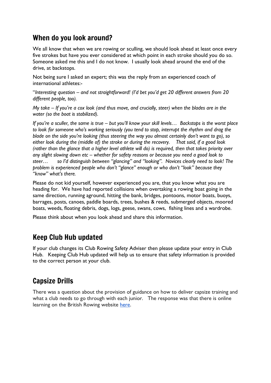# When do you look around?

We all know that when we are rowing or sculling, we should look ahead at least once every five strokes but have you ever considered at which point in each stroke should you do so. Someone asked me this and I do not know. I usually look ahead around the end of the drive, at backstops.

Not being sure I asked an expert; this was the reply from an experienced coach of international athletes:-

"*Interesting question – and not straightforward! (I'd bet you'd get 20 different answers from 20 different people, too).*

My take – If you're a cox look (and thus move, and crucially, steer) when the blades are in the *water (so the boat is stabilized).*

If you're a sculler, the same is true – but you'll know your skill levels... Backstops is the worst place *to look for someone who's working seriously (you tend to stop, interrupt the rhythm and drag the blade on the side you're looking (thus steering the way you almost certainly don't want to go), so either look during the (middle of) the stroke or during the recovery. That said, if a good look* (rather than the glance that a higher level athlete will do) is required, then that takes priority over *any slight slowing down etc – whether for safety reasons or because you need a good look to steer… so I'd distinguish between "glancing" and "looking". Novices clearly need to look! The problem is experienced people who don't "glance" enough or who don't "look" because they "know" what's there.*

Please do not kid yourself, however experienced you are, that you know what you are heading for. We have had reported collisions when overtaking a rowing boat going in the same direction, running aground, hitting the bank, bridges, pontoons, motor boats, buoys, barrages, posts, canoes, paddle boards, trees, bushes & reeds, submerged objects, moored boats, weeds, floating debris, dogs, logs, geese, swans, cows, fishing lines and a wardrobe.

Please think about when you look ahead and share this information.

# Keep Club Hub updated

If your club changes its Club Rowing Safety Adviser then please update your entry in Club Hub. Keeping Club Hub updated will help us to ensure that safety information is provided to the correct person at your club.

# Capsize Drills

There was a question about the provision of guidance on how to deliver capsize training and what a club needs to go through with each junior. The response was that there is online learning on the British Rowing website [here.](https://www.rowhow.org/mod/book/view.php?id=6346)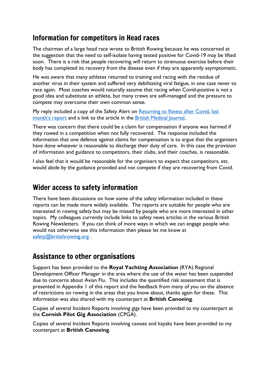## Information for competitors in Head races

The chairman of a large head race wrote to British Rowing because he was concerned at the suggestion that the need to self-isolate having tested positive for Covid-19 may be lifted soon. There is a risk that people recovering will return to strenuous exercise before their body has completed its recovery from the disease even if they are apparently asymptomatic.

He was aware that many athletes returned to training and racing with the residue of another virus in their system and suffered very debilitating viral fatigue, in one case never to race again. Most coaches would naturally assume that racing when Covid-positive is not a good idea and substitute an athlete, but many crews are self-managed and the pressure to compete may overcome their own common sense.

My reply included a copy of the Safety Alert on [Returning](https://www.britishrowing.org/wp-content/uploads/2022/01/Safety-Alert-Returning-to-fitness-after-Covid-January-2022.pdf) to fitness after Covid, [last](https://www.britishrowing.org/wp-content/uploads/2022/02/HRSA-Monthly-Report-January-2022.pdf) [month's](https://www.britishrowing.org/wp-content/uploads/2022/02/HRSA-Monthly-Report-January-2022.pdf) report and a link to the article in the British [Medical](https://www.bmj.com/content/372/bmj.m4721) Journal.

There was concern that there could be a claim for compensation if anyone was harmed if they rowed in a competition when not fully recovered. The response included the information that one defence against claims for compensation is to argue that the organisers have done whatever is reasonable to discharge their duty of care. In this case the provision of information and guidance to competitors, their clubs, and their coaches, is reasonable.

I also feel that it would be reasonable for the organisers to expect that competitors, etc. would abide by the guidance provided and not compete if they are recovering from Covid.

### Wider access to safety information

There have been discussions on how some of the safety information included in these reports can be made more widely available. The reports are suitable for people who are interested in rowing safety but may be missed by people who are more interested in other topics. My colleagues currently include links to safety news articles in the various British Rowing Newsletters. If you can think of more ways in which we can engage people who would not otherwise see this information then please let me know at [safety@britishrowing.org](mailto:safety@britishrowing.org).

## Assistance to other organisations

Support has been provided to the **Royal Yachting Association** (RYA) Regional Development Officer Manager in the area where the use of the water has been suspended due to concerns about Avian Flu. This includes the quantified risk assessment that is presented in Appendix 1 of this report and the feedback from many of you on the absence of restrictions on rowing in the areas that you know about, thanks again for these. This information was also shared with my counterpart at **British Canoeing**.

Copies of several Incident Reports involving gigs have been provided to my counterpart at the **Cornish Pilot Gig Association** (CPGA).

Copies of several Incident Reports involving canoes and kayaks have been provided to my counterpart at **British Canoeing**.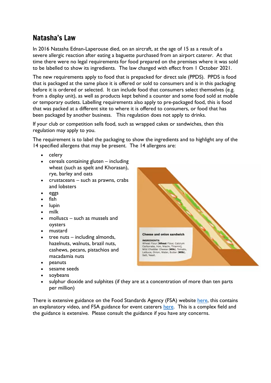# Natasha's Law

In 2016 Natasha Ednan-Laperouse died, on an aircraft, at the age of 15 as a result of a severe allergic reaction after eating a baguette purchased from an airport caterer. At that time there were no legal requirements for food prepared on the premises where it was sold to be labelled to show its ingredients. The law changed with effect from 1 October 2021.

The new requirements apply to food that is prepacked for direct sale (PPDS). PPDS is food that is packaged at the same place it is offered or sold to consumers and is in this packaging before it is ordered or selected. It can include food that consumers select themselves (e.g. from a display unit), as well as products kept behind a counter and some food sold at mobile or temporary outlets. Labelling requirements also apply to pre-packaged food, this is food that was packed at a different site to where it is offered to consumers, or food that has been packaged by another business. This regulation does not apply to drinks.

If your club or competition sells food, such as wrapped cakes or sandwiches, then this regulation may apply to you.

The requirement is to label the packaging to show the ingredients and to highlight any of the 14 specified allergens that may be present. The 14 allergens are:

- celery
- cereals containing gluten including wheat (such as spelt and Khorasan), rye, barley and oats
- crustaceans such as prawns, crabs and lobsters
- eggs
- fish
- lupin
- milk
- molluscs such as mussels and oysters
- mustard
- tree nuts  $-$  including almonds, hazelnuts, walnuts, brazil nuts, cashews, pecans, pistachios and macadamia nuts
- peanuts
- sesame seeds
- soybeans
- sulphur dioxide and sulphites (if they are at a concentration of more than ten parts per million)

There is extensive guidance on the Food Standards Agency (FSA) website [here,](https://www.food.gov.uk/business-guidance/introduction-to-allergen-labelling-changes-ppds) this contains an explanatory video, and FSA guidance for event caterers [here.](https://www.food.gov.uk/business-guidance/prepacked-for-direct-sale-ppds-allergen-labelling-changes-for-event-caterers) This is a complex field and the guidance is extensive. Please consult the guidance if you have any concerns.

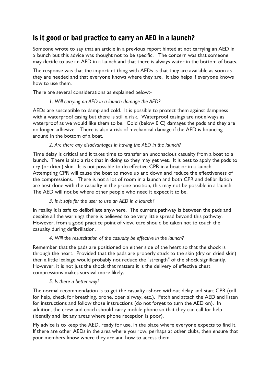# Is it good or bad practice to carry an AED in a launch?

Someone wrote to say that an article in a previous report hinted at not carrying an AED in a launch but this advice was thought not to be specific. The concern was that someone may decide to use an AED in a launch and that there is always water in the bottom of boats.

The response was that the important thing with AEDs is that they are available as soon as they are needed and that everyone knows where they are. It also helps if everyone knows how to use them.

There are several considerations as explained below:-

#### *1. Will carrying an AED in a launch damage the AED?*

AEDs are susceptible to damp and cold. It is possible to protect them against dampness with a waterproof casing but there is still a risk. Waterproof casings are not always as waterproof as we would like them to be. Cold (below 0 C) damages the pads and they are no longer adhesive. There is also a risk of mechanical damage if the AED is bouncing around in the bottom of a boat.

#### *2. Are there any disadvantages in having the AED in the launch?*

Time delay is critical and it takes time to transfer an unconscious casualty from a boat to a launch. There is also a risk that in doing so they may get wet. It is best to apply the pads to dry (or dried) skin. It is not possible to do effective CPR in a boat or in a launch. Attempting CPR will cause the boat to move up and down and reduce the effectiveness of the compressions. There is not a lot of room in a launch and both CPR and defibrillation are best done with the casualty in the prone position, this may not be possible in a launch. The AED will not be where other people who need it expect it to be.

#### *3. Is it safe for the user to use an AED in a launch?*

In reality it is safe to defibrillate anywhere. The current pathway is between the pads and despite all the warnings there is believed to be very little spread beyond this pathway. However, from a good practice point of view, care should be taken not to touch the casualty during defibrillation.

#### *4. Will the resuscitation of the casualty be effective in the launch?*

Remember that the pads are positioned on either side of the heart so that the shock is through the heart. Provided that the pads are properly stuck to the skin (dry or dried skin) then a little leakage would probably not reduce the "strength" of the shock significantly. However, it is not just the shock that matters it is the delivery of effective chest compressions makes survival more likely.

#### *5. Is there a better way?*

The normal recommendation is to get the casualty ashore without delay and start CPR (call for help, check for breathing, prone, open airway, etc.). Fetch and attach the AED and listen for instructions and follow those instructions (do not forget to turn the AED on). In addition, the crew and coach should carry mobile phone so that they can call for help (identify and list any areas where phone reception is poor).

My advice is to keep the AED, ready for use, in the place where everyone expects to find it. If there are other AEDs in the area where you row, perhaps at other clubs, then ensure that your members know where they are and how to access them.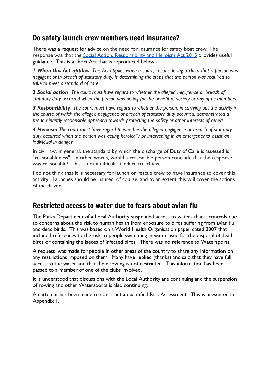# Do safety launch crew members need insurance?

There was a request for advice on the need for insurance for safety boat crew. The response was that the Social Action, [Responsibility](https://www.legislation.gov.uk/ukpga/2015/3/contents/enacted) and Heroism Act 2015 provides useful guidance. This is a short Act that is reproduced below:-

I When this Act applies This Act applies when a court, in considering a claim that a person was *negligent or in breach of statutory duty, is determining the steps that the person was required to take to meet a standard of care.*

*2 Social action The court must have regard to whether the alleged negligence or breach of* statutory duty occurred when the person was acting for the benefit of society or any of its members.

*3 Responsibility The court must have regard to whether the person, in carrying out the activity in the course of which the alleged negligence or breach of statutory duty occurred, demonstrated a predominantly responsible approach towards protecting the safety or other interests of others.*

*4 Heroism The court must have regard to whether the alleged negligence or breach of statutory duty occurred when the person was acting heroically by intervening in an emergency to assist an individual in danger.*

In civil law, in general, the standard by which the discharge of Duty of Care is assessed is "reasonableness". In other words, would a reasonable person conclude that the response was reasonable? This is not a difficult standard to achieve.

I do not think that it is necessary for launch or rescue crew to have insurance to cover this activity. Launches should be insured, of course, and to an extent this will cover the actions of the driver.

# Restricted access to water due to fears about avian flu

The Parks Department of a Local Authority suspended access to waters that it controls due to concerns about the risk to human health from exposure to birds suffering from avian flu and dead birds. This was based on a World Health Organisation paper dated 2007 that included references to the risk to people swimming in water used for the disposal of dead birds or containing the faeces of infected birds. There was no reference to Watersports.

A request was made for people in other areas of the country to share any information on any restrictions imposed on them. Many have replied (thanks) and said that they have full access to the water and that their rowing is not restricted. This information has been passed to a member of one of the clubs involved.

It is understood that discussions with the Local Authority are continuing and the suspension of rowing and other Watersports is also continuing.

An attempt has been made to construct a quantified Risk Assessment. This is presented in Appendix 1.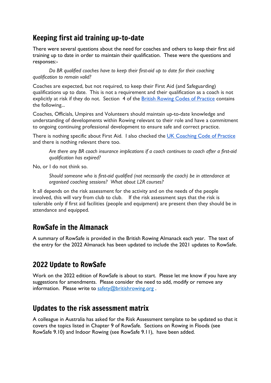# Keeping first aid training up-to-date

There were several questions about the need for coaches and others to keep their first aid training up to date in order to maintain their qualification. These were the questions and responses:-

*Do BR qualified coaches have to keep their first-aid up to date for their coaching qualification to remain valid?*

Coaches are expected, but not required, to keep their First Aid (and Safeguarding) qualifications up to date. This is not a requirement and their qualification as a coach is not explicitly at risk if they do not. Section 4 of the British Rowing Codes of [Practice](https://nam12.safelinks.protection.outlook.com/?url=https%3A%2F%2Fwww.britishrowing.org%2Fwp-content%2Fuploads%2F2020%2F03%2F201103-Codes-of-Conduct-2020.pdf&data=04%7C01%7C%7Ca92ea8533d0140f5959d08d9f6d1e850%7C84df9e7fe9f640afb435aaaaaaaaaaaa%7C1%7C0%7C637812203670480334%7CUnknown%7CTWFpbGZsb3d8eyJWIjoiMC4wLjAwMDAiLCJQIjoiV2luMzIiLCJBTiI6Ik1haWwiLCJXVCI6Mn0%3D%7C3000&sdata=LZ7tYzoupDuF8x0GUHlUvQeC4n0e3KR%2BMA5vlnHje2I%3D&reserved=0) contains the following...

Coaches, Officials, Umpires and Volunteers should maintain up-to-date knowledge and understanding of developments within Rowing relevant to their role and have a commitment to ongoing continuing professional development to ensure safe and correct practice.

There is nothing specific about First Aid. I also checked the UK [Coaching](https://nam12.safelinks.protection.outlook.com/?url=https%3A%2F%2Fwww.ukcoaching.org%2Fresources%2Ftopics%2Fguides%2Fcode-of-practice-for-sports-coaches&data=04%7C01%7C%7Ca92ea8533d0140f5959d08d9f6d1e850%7C84df9e7fe9f640afb435aaaaaaaaaaaa%7C1%7C0%7C637812203670480334%7CUnknown%7CTWFpbGZsb3d8eyJWIjoiMC4wLjAwMDAiLCJQIjoiV2luMzIiLCJBTiI6Ik1haWwiLCJXVCI6Mn0%3D%7C3000&sdata=63%2FsWXOvygtiz2%2B6u2DXigc9YaFC73CG07rNzplIGOw%3D&reserved=0) Code of Practice and there is nothing relevant there too.

*Are there any BR coach insurance implications if a coach continues to coach after a first-aid qualification has expired?*

No, or I do not think so.

*Should someone who is first-aid qualified (not necessarily the coach) be in attendance at organised coaching sessions? What about L2R courses?*

It all depends on the risk assessment for the activity and on the needs of the people involved, this will vary from club to club. If the risk assessment says that the risk is tolerable only if first aid facilities (people and equipment) are present then they should be in attendance and equipped.

## RowSafe in the Almanack

A summary of RowSafe is provided in the British Rowing Almanack each year. The text of the entry for the 2022 Almanack has been updated to include the 2021 updates to RowSafe.

## 2022 Update to RowSafe

Work on the 2022 edition of RowSafe is about to start. Please let me know if you have any suggestions for amendments. Please consider the need to add, modify or remove any information. Please write to [safety@britishrowing.org](mailto:safety@britishrowing.org).

## Updates to the risk assessment matrix

A colleague in Australia has asked for the Risk Assessment template to be updated so that it covers the topics listed in Chapter 9 of RowSafe. Sections on Rowing in Floods (see RowSafe 9.10) and Indoor Rowing (see RowSafe 9.11), have been added.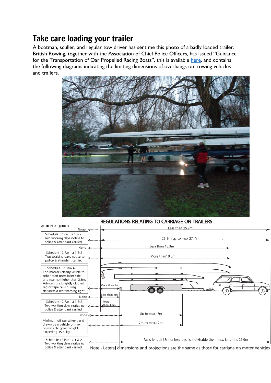# Take care loading your trailer

A boatman, sculler, and regular tow driver has sent me this photo of a badly loaded trailer. British Rowing, together with the Association of Chief Police Officers, has issued "Guidance for the Transportation of Oar Propelled Racing Boats", this is available [here,](https://www.britishrowing.org/wp-content/uploads/2015/09/TowingGuidance.pdf) and contains the following diagrams indicating the limiting dimensions of overhangs on towing vehicles and trailers.



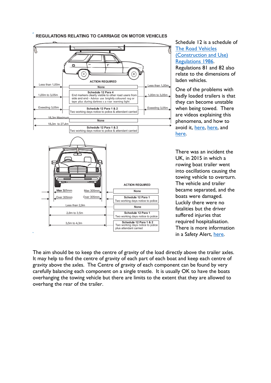

#### REGULATIONS RELATING TO CARRIAGE ON MOTOR VEHICLES

Schedule 12 is a schedule of The Road [Vehicles](https://www.legislation.gov.uk/uksi/1986/1078/contents/made) [\(Construction](https://www.legislation.gov.uk/uksi/1986/1078/contents/made) and Use) [Regulations](https://www.legislation.gov.uk/uksi/1986/1078/contents/made) 1986. Regulations 81 and 82 also relate to the dimensions of laden vehicles.

One of the problems with badly loaded trailers is that they can become unstable when being towed. There are videos explaining this phenomena, and how to avoid it, [here,](https://www.youtube.com/watch?v=JeEEC5eVNCk) [here,](https://www.youtube.com/watch?v=6mW_gzdh6to) and [here.](https://www.youtube.com/watch?v=zwlgZG55QWk)

There was an incident the UK, in 2015 in which a rowing boat trailer went into oscillations causing the towing vehicle to overturn. The vehicle and trailer became separated, and the boats were damaged. Luckily there were no fatalities but the driver suffered injuries that required hospitalisation. There is more information in a Safety Alert, [here.](https://www.britishrowing.org/wp-content/uploads/2015/09/Safety-Alert-2014-Trailer-Towing.pdf)

The aim should be to keep the centre of gravity of the load directly above the trailer axles. It may help to find the centre of gravity of each part of each boat and keep each centre of gravity above the axles. The Centre of gravity of each component can be found by very carefully balancing each component on a single trestle. It is usually OK to have the boats overhanging the towing vehicle but there are limits to the extent that they are allowed to overhang the rear of the trailer.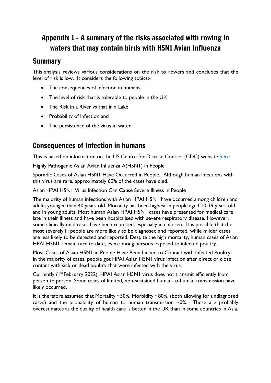# Appendix 1 - A summary of the risks associated with rowing in waters that may contain birds with H5N1 Avian Influenza

## Summary

This analysis reviews various considerations on the risk to rowers and concludes that the level of risk is low. It considers the following topics:-

- The consequences of infection in humans
- The level of risk that is tolerable to people in the UK
- The Risk in a River vs that in a Lake
- Probability of Infection and
- The persistence of the virus in water

# Consequences of Infection in humans

This is based on information on the US Centre for Disease Control (CDC) website [here](https://www.cdc.gov/flu/avianflu/h5n1-people.htm)

Highly Pathogenic Asian Avian Influenza A(H5N1) in People

Sporadic Cases of Asian H5N1 Have Occurred in People. Although human infections with this virus are rare, approximately 60% of the cases have died.

Asian HPAI H5N1 Virus Infection Can Cause Severe Illness in People

The majority of human infections with Asian HPAI H5N1 have occurred among children and adults younger than 40 years old. Mortality has been highest in people aged 10-19 years old and in young adults. Most human Asian HPAI H5N1 cases have presented for medical care late in their illness and have been hospitalised with severe respiratory disease. However, some clinically mild cases have been reported, especially in children. It is possible that the most severely ill people are more likely to be diagnosed and reported, while milder cases are less likely to be detected and reported. Despite the high mortality, human cases of Asian HPAI H5N1 remain rare to date, even among persons exposed to infected poultry.

Most Cases of Asian H5N1 in People Have Been Linked to Contact with Infected Poultry. In the majority of cases, people got HPAI Asian H5N1 virus infection after direct or close contact with sick or dead poultry that were infected with the virus.

Currently ( $I<sup>st</sup>$  February 2022), HPAI Asian H5N1 virus does not transmit efficiently from person to person. Some cases of limited, non-sustained human-to-human transmission have likely occurred.

It is therefore assumed that Mortality ~50%, Morbidity ~80%, (both allowing for undiagnosed cases) and the probability of human to human transmission  $\sim$ 0%. These are probably overestimates as the quality of health care is better in the UK than in some countries in Asia.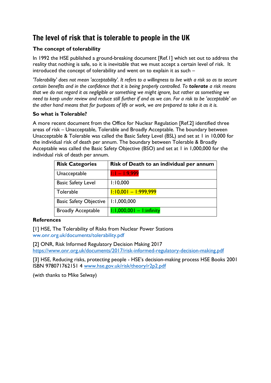# The level of risk that is tolerable to people in the UK

#### **The concept of tolerability**

In 1992 the HSE published a ground-breaking document [Ref.1] which set out to address the reality that nothing is safe, so it is inevitable that we must accept a certain level of risk. It introduced the concept of tolerability and went on to explain it as such –

'Tolerability' does not mean 'acceptability'. It refers to a willingness to live with a risk so as to secure *certain benefits and in the confidence that it is being properly controlled. To tolerate a risk means that we do not regard it as negligible or something we might ignore, but rather as something we* need to keep under review and reduce still further if and as we can. For a risk to be 'acceptable' on the other hand means that for purposes of life or work, we are prepared to take it as it is.

#### **So what is Tolerable?**

A more recent document from the Office for Nuclear Regulation [Ref.2] identified three areas of risk – Unacceptable, Tolerable and Broadly Acceptable. The boundary between Unacceptable & Tolerable was called the Basic Safety Level (BSL) and set at 1 in 10,000 for the individual risk of death per annum. The boundary between Tolerable & Broadly Acceptable was called the Basic Safety Objective (BSO) and set at 1 in 1,000,000 for the individual risk of death per annum.

| <b>Risk Categories</b>        | Risk of Death to an individual per annum |
|-------------------------------|------------------------------------------|
| Unacceptable                  | $1:1 - 1:9,999$                          |
| <b>Basic Safety Level</b>     | 1:10,000                                 |
| Tolerable                     | $1:10,001 - 1:999,999$                   |
| <b>Basic Safety Objective</b> | 1:1,000,000                              |
| <b>Broadly Acceptable</b>     | $1:1,000,001 - 1:$ infinity              |

#### **References**

[1] HSE, The Tolerability of Risks from Nuclear Power Stations ww.onr.org.uk/documents/tolerability.pdf

[2] ONR, Risk Informed Regulatory Decision Making 2017

<https://www.onr.org.uk/documents/2017/risk-informed-regulatory-decision-making.pdf>

[3] HSE, Reducing risks, protecting people - HSE's decision-making process HSE Books 2001 ISBN 978071762151 4 [www.hse.gov.uk/risk/theory/r2p2.pdf](http://www.hse.gov.uk/risk/theory/r2p2.pdf)

(with thanks to Mike Selway)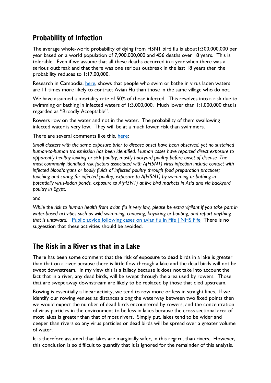# Probability of Infection

The average whole-world probability of dying from H5N1 bird flu is about1:300,000,000 per year based on a world population of 7,900,000,000 and 456 deaths over 18 years. This is tolerable. Even if we assume that all these deaths occurred in a year when there was a serious outbreak and that there was one serious outbreak in the last 18 years then the probability reduces to 1:17,00,000.

Research in Cambodia, [here,](https://pubmed.ncbi.nlm.nih.gov/19416078/) shows that people who swim or bathe in virus laden waters are 11 times more likely to contract Avian Flu than those in the same village who do not.

We have assumed a mortality rate of 50% of those infected. This resolves into a risk due to swimming or bathing in infected waters of 1:3,000,000. Much lower than 1:1,000,000 that is regarded as "Broadly Acceptable".

Rowers row on the water and not in the water. The probability of them swallowing infected water is very low. They will be at a much lower risk than swimmers.

There are several comments like this, [here:](https://www.ecdc.europa.eu/en/zoonotic-influenza/facts/factsheet-h5n1)

*Small clusters with the same exposure prior to disease onset have been observed, yet no sustained human-to-human transmission has been identified. Human cases have reported direct exposure to apparently healthy looking or sick poultry, mostly backyard poultry before onset of disease. The most commonly identified risk factors associated with A(H5N1) virus infection include contact with infected blood/organs or bodily fluids of infected poultry through food preparation practices; touching and caring for infected poultry; exposure to A(H5N1) by swimming or bathing in potentially virus-laden ponds, exposure to A(H5N1) at live bird markets in Asia and via backyard poultry in Egypt*.

and

While the risk to human health from avian flu is very low, please be extra vigilant if you take part in *water-based activities such as wild swimming, canoeing, kayaking or boating, and report anything that is untoward.* Public advice [following](https://www.nhsfife.org/news-updates/latest-news/2021/02/public-advice-following-cases-on-avian-flu-in-fife/) cases on avian flu in Fife | NHS Fife There is no suggestion that these activities should be avoided.

# The Risk in a River vs that in a Lake

There has been some comment that the risk of exposure to dead birds in a lake is greater than that on a river because there is little flow through a lake and the dead birds will not be swept downstream. In my view this is a fallacy because it does not take into account the fact that in a river, any dead birds, will be swept through the area used by rowers. Those that are swept away downstream are likely to be replaced by those that died upstream.

Rowing is essentially a linear activity, we tend to row more or less in straight lines. If we identify our rowing venues as distances along the waterway between two fixed points then we would expect the number of dead birds encountered by rowers, and the concentration of virus particles in the environment to be less in lakes because the cross sectional area of most lakes is greater than that of most rivers. Simply put, lakes tend to be wider and deeper than rivers so any virus particles or dead birds will be spread over a greater volume of water.

It is therefore assumed that lakes are marginally safer, in this regard, than rivers. However, this conclusion is so difficult to quantify that it is ignored for the remainder of this analysis.